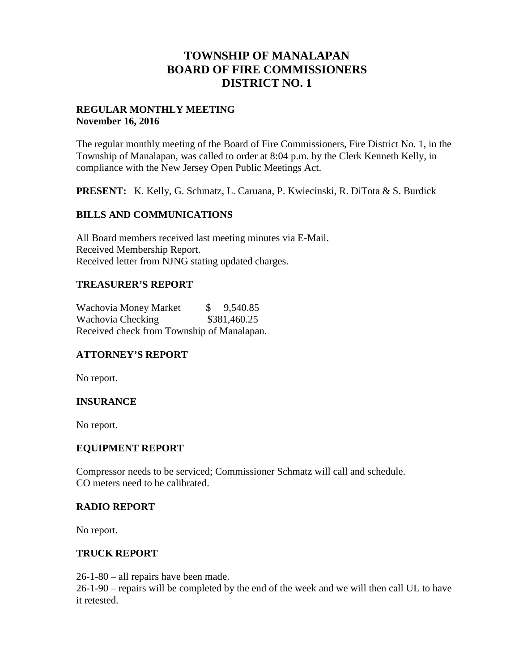# **TOWNSHIP OF MANALAPAN BOARD OF FIRE COMMISSIONERS DISTRICT NO. 1**

#### **REGULAR MONTHLY MEETING November 16, 2016**

The regular monthly meeting of the Board of Fire Commissioners, Fire District No. 1, in the Township of Manalapan, was called to order at 8:04 p.m. by the Clerk Kenneth Kelly, in compliance with the New Jersey Open Public Meetings Act.

**PRESENT:** K. Kelly, G. Schmatz, L. Caruana, P. Kwiecinski, R. DiTota & S. Burdick

### **BILLS AND COMMUNICATIONS**

All Board members received last meeting minutes via E-Mail. Received Membership Report. Received letter from NJNG stating updated charges.

### **TREASURER'S REPORT**

Wachovia Money Market  $\$$  9,540.85 Wachovia Checking  $$381,460.25$ Received check from Township of Manalapan.

## **ATTORNEY'S REPORT**

No report.

#### **INSURANCE**

No report.

#### **EQUIPMENT REPORT**

Compressor needs to be serviced; Commissioner Schmatz will call and schedule. CO meters need to be calibrated.

#### **RADIO REPORT**

No report.

#### **TRUCK REPORT**

26-1-80 – all repairs have been made.

26-1-90 – repairs will be completed by the end of the week and we will then call UL to have it retested.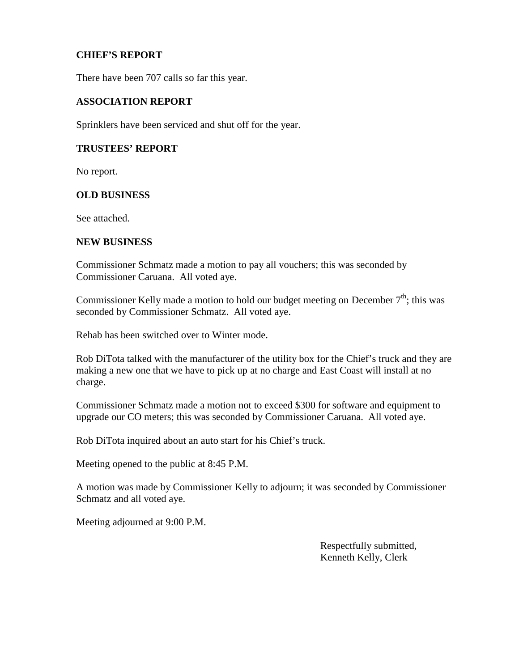### **CHIEF'S REPORT**

There have been 707 calls so far this year.

#### **ASSOCIATION REPORT**

Sprinklers have been serviced and shut off for the year.

#### **TRUSTEES' REPORT**

No report.

#### **OLD BUSINESS**

See attached.

#### **NEW BUSINESS**

Commissioner Schmatz made a motion to pay all vouchers; this was seconded by Commissioner Caruana. All voted aye.

Commissioner Kelly made a motion to hold our budget meeting on December  $7<sup>th</sup>$ ; this was seconded by Commissioner Schmatz. All voted aye.

Rehab has been switched over to Winter mode.

Rob DiTota talked with the manufacturer of the utility box for the Chief's truck and they are making a new one that we have to pick up at no charge and East Coast will install at no charge.

Commissioner Schmatz made a motion not to exceed \$300 for software and equipment to upgrade our CO meters; this was seconded by Commissioner Caruana. All voted aye.

Rob DiTota inquired about an auto start for his Chief's truck.

Meeting opened to the public at 8:45 P.M.

A motion was made by Commissioner Kelly to adjourn; it was seconded by Commissioner Schmatz and all voted aye.

Meeting adjourned at 9:00 P.M.

Respectfully submitted, Kenneth Kelly, Clerk